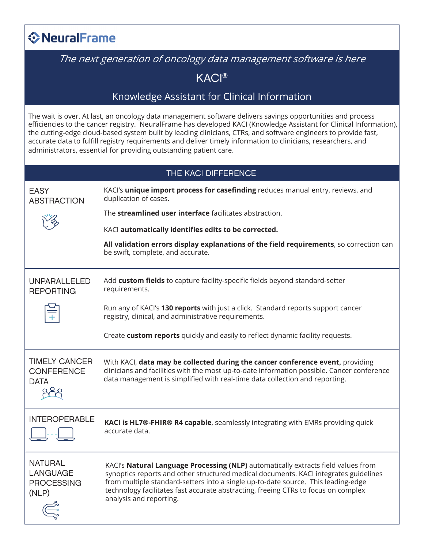## **◆NeuralFrame**

## The next generation of oncology data management software is here

KACI®

## Knowledge Assistant for Clinical Information

The wait is over. At last, an oncology data management software delivers savings opportunities and process efficiencies to the cancer registry. NeuralFrame has developed KACI (Knowledge Assistant for Clinical Information), the cutting-edge cloud-based system built by leading clinicians, CTRs, and software engineers to provide fast, accurate data to fulfill registry requirements and deliver timely information to clinicians, researchers, and administrators, essential for providing outstanding patient care.

| THE KACI DIFFERENCE                                      |                                                                                                                                                                                                                                                                                                                                                                                 |  |
|----------------------------------------------------------|---------------------------------------------------------------------------------------------------------------------------------------------------------------------------------------------------------------------------------------------------------------------------------------------------------------------------------------------------------------------------------|--|
| <b>EASY</b><br><b>ABSTRACTION</b>                        | KACI's unique import process for casefinding reduces manual entry, reviews, and<br>duplication of cases.                                                                                                                                                                                                                                                                        |  |
|                                                          | The streamlined user interface facilitates abstraction.                                                                                                                                                                                                                                                                                                                         |  |
|                                                          | KACI automatically identifies edits to be corrected.                                                                                                                                                                                                                                                                                                                            |  |
|                                                          | All validation errors display explanations of the field requirements, so correction can<br>be swift, complete, and accurate.                                                                                                                                                                                                                                                    |  |
| <b>UNPARALLELED</b><br><b>REPORTING</b>                  | Add custom fields to capture facility-specific fields beyond standard-setter<br>requirements.                                                                                                                                                                                                                                                                                   |  |
|                                                          | Run any of KACI's 130 reports with just a click. Standard reports support cancer<br>registry, clinical, and administrative requirements.                                                                                                                                                                                                                                        |  |
|                                                          | Create custom reports quickly and easily to reflect dynamic facility requests.                                                                                                                                                                                                                                                                                                  |  |
| <b>TIMELY CANCER</b><br><b>CONFERENCE</b><br><b>DATA</b> | With KACI, data may be collected during the cancer conference event, providing<br>clinicians and facilities with the most up-to-date information possible. Cancer conference<br>data management is simplified with real-time data collection and reporting.                                                                                                                     |  |
| <b>INTEROPERABLE</b>                                     | KACI is HL7®-FHIR® R4 capable, seamlessly integrating with EMRs providing quick<br>accurate data.                                                                                                                                                                                                                                                                               |  |
| <b>NATURAL</b><br>LANGUAGE<br><b>PROCESSING</b><br>(NLP) | KACI's Natural Language Processing (NLP) automatically extracts field values from<br>synoptics reports and other structured medical documents. KACI integrates guidelines<br>from multiple standard-setters into a single up-to-date source. This leading-edge<br>technology facilitates fast accurate abstracting, freeing CTRs to focus on complex<br>analysis and reporting. |  |